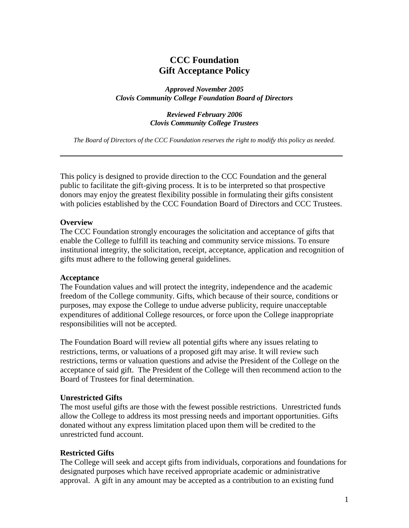# **CCC Foundation Gift Acceptance Policy**

*Approved November 2005 Clovis Community College Foundation Board of Directors*

> *Reviewed February 2006 Clovis Community College Trustees*

*The Board of Directors of the CCC Foundation reserves the right to modify this policy as needed.*

This policy is designed to provide direction to the CCC Foundation and the general public to facilitate the gift-giving process. It is to be interpreted so that prospective donors may enjoy the greatest flexibility possible in formulating their gifts consistent with policies established by the CCC Foundation Board of Directors and CCC Trustees.

### **Overview**

The CCC Foundation strongly encourages the solicitation and acceptance of gifts that enable the College to fulfill its teaching and community service missions. To ensure institutional integrity, the solicitation, receipt, acceptance, application and recognition of gifts must adhere to the following general guidelines.

#### **Acceptance**

The Foundation values and will protect the integrity, independence and the academic freedom of the College community. Gifts, which because of their source, conditions or purposes, may expose the College to undue adverse publicity, require unacceptable expenditures of additional College resources, or force upon the College inappropriate responsibilities will not be accepted.

The Foundation Board will review all potential gifts where any issues relating to restrictions, terms, or valuations of a proposed gift may arise. It will review such restrictions, terms or valuation questions and advise the President of the College on the acceptance of said gift. The President of the College will then recommend action to the Board of Trustees for final determination.

### **Unrestricted Gifts**

The most useful gifts are those with the fewest possible restrictions. Unrestricted funds allow the College to address its most pressing needs and important opportunities. Gifts donated without any express limitation placed upon them will be credited to the unrestricted fund account.

### **Restricted Gifts**

The College will seek and accept gifts from individuals, corporations and foundations for designated purposes which have received appropriate academic or administrative approval. A gift in any amount may be accepted as a contribution to an existing fund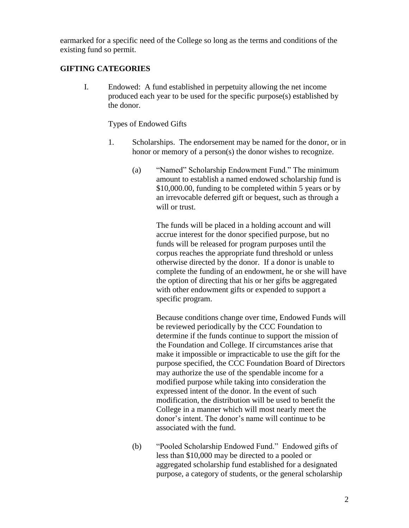earmarked for a specific need of the College so long as the terms and conditions of the existing fund so permit.

## **GIFTING CATEGORIES**

I. Endowed: A fund established in perpetuity allowing the net income produced each year to be used for the specific purpose(s) established by the donor.

Types of Endowed Gifts

- 1. Scholarships. The endorsement may be named for the donor, or in honor or memory of a person(s) the donor wishes to recognize.
	- (a) "Named" Scholarship Endowment Fund." The minimum amount to establish a named endowed scholarship fund is \$10,000.00, funding to be completed within 5 years or by an irrevocable deferred gift or bequest, such as through a will or trust.

The funds will be placed in a holding account and will accrue interest for the donor specified purpose, but no funds will be released for program purposes until the corpus reaches the appropriate fund threshold or unless otherwise directed by the donor. If a donor is unable to complete the funding of an endowment, he or she will have the option of directing that his or her gifts be aggregated with other endowment gifts or expended to support a specific program.

Because conditions change over time, Endowed Funds will be reviewed periodically by the CCC Foundation to determine if the funds continue to support the mission of the Foundation and College. If circumstances arise that make it impossible or impracticable to use the gift for the purpose specified, the CCC Foundation Board of Directors may authorize the use of the spendable income for a modified purpose while taking into consideration the expressed intent of the donor. In the event of such modification, the distribution will be used to benefit the College in a manner which will most nearly meet the donor's intent. The donor's name will continue to be associated with the fund.

(b) "Pooled Scholarship Endowed Fund." Endowed gifts of less than \$10,000 may be directed to a pooled or aggregated scholarship fund established for a designated purpose, a category of students, or the general scholarship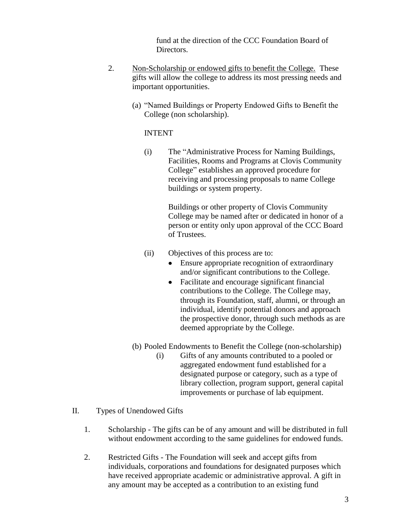fund at the direction of the CCC Foundation Board of Directors.

- 2. Non-Scholarship or endowed gifts to benefit the College. These gifts will allow the college to address its most pressing needs and important opportunities.
	- (a) "Named Buildings or Property Endowed Gifts to Benefit the College (non scholarship).

## INTENT

(i) The "Administrative Process for Naming Buildings, Facilities, Rooms and Programs at Clovis Community College" establishes an approved procedure for receiving and processing proposals to name College buildings or system property.

> Buildings or other property of Clovis Community College may be named after or dedicated in honor of a person or entity only upon approval of the CCC Board of Trustees.

- (ii) Objectives of this process are to:
	- Ensure appropriate recognition of extraordinary and/or significant contributions to the College.
	- Facilitate and encourage significant financial contributions to the College. The College may, through its Foundation, staff, alumni, or through an individual, identify potential donors and approach the prospective donor, through such methods as are deemed appropriate by the College.
- (b) Pooled Endowments to Benefit the College (non-scholarship)
	- (i) Gifts of any amounts contributed to a pooled or aggregated endowment fund established for a designated purpose or category, such as a type of library collection, program support, general capital improvements or purchase of lab equipment.
- II. Types of Unendowed Gifts
	- 1. Scholarship The gifts can be of any amount and will be distributed in full without endowment according to the same guidelines for endowed funds.
	- 2. Restricted Gifts The Foundation will seek and accept gifts from individuals, corporations and foundations for designated purposes which have received appropriate academic or administrative approval. A gift in any amount may be accepted as a contribution to an existing fund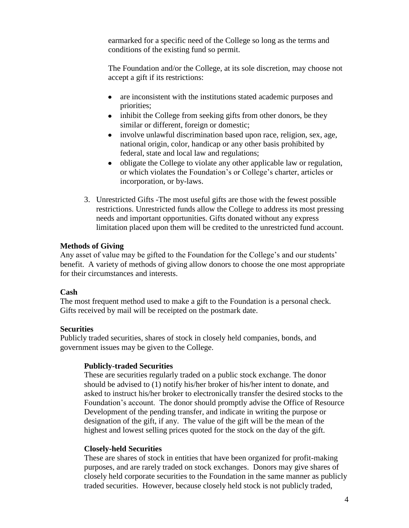earmarked for a specific need of the College so long as the terms and conditions of the existing fund so permit.

The Foundation and/or the College, at its sole discretion, may choose not accept a gift if its restrictions:

- are inconsistent with the institutions stated academic purposes and  $\bullet$ priorities;
- inhibit the College from seeking gifts from other donors, be they similar or different, foreign or domestic;
- involve unlawful discrimination based upon race, religion, sex, age, national origin, color, handicap or any other basis prohibited by federal, state and local law and regulations;
- obligate the College to violate any other applicable law or regulation,  $\bullet$ or which violates the Foundation's or College's charter, articles or incorporation, or by-laws.
- 3. Unrestricted Gifts -The most useful gifts are those with the fewest possible restrictions. Unrestricted funds allow the College to address its most pressing needs and important opportunities. Gifts donated without any express limitation placed upon them will be credited to the unrestricted fund account.

## **Methods of Giving**

Any asset of value may be gifted to the Foundation for the College's and our students' benefit. A variety of methods of giving allow donors to choose the one most appropriate for their circumstances and interests.

## **Cash**

The most frequent method used to make a gift to the Foundation is a personal check. Gifts received by mail will be receipted on the postmark date.

## **Securities**

Publicly traded securities, shares of stock in closely held companies, bonds, and government issues may be given to the College.

## **Publicly-traded Securities**

These are securities regularly traded on a public stock exchange. The donor should be advised to (1) notify his/her broker of his/her intent to donate, and asked to instruct his/her broker to electronically transfer the desired stocks to the Foundation's account. The donor should promptly advise the Office of Resource Development of the pending transfer, and indicate in writing the purpose or designation of the gift, if any. The value of the gift will be the mean of the highest and lowest selling prices quoted for the stock on the day of the gift.

## **Closely-held Securities**

These are shares of stock in entities that have been organized for profit-making purposes, and are rarely traded on stock exchanges. Donors may give shares of closely held corporate securities to the Foundation in the same manner as publicly traded securities. However, because closely held stock is not publicly traded,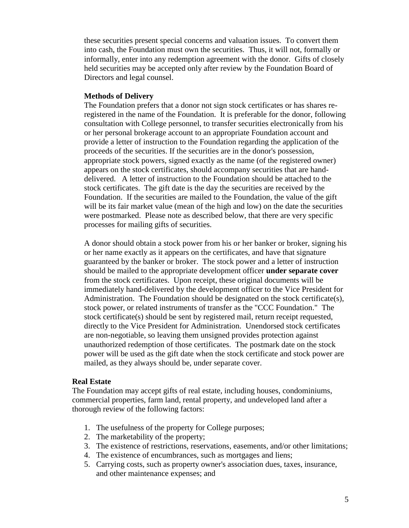these securities present special concerns and valuation issues. To convert them into cash, the Foundation must own the securities. Thus, it will not, formally or informally, enter into any redemption agreement with the donor. Gifts of closely held securities may be accepted only after review by the Foundation Board of Directors and legal counsel.

### **Methods of Delivery**

The Foundation prefers that a donor not sign stock certificates or has shares reregistered in the name of the Foundation. It is preferable for the donor, following consultation with College personnel, to transfer securities electronically from his or her personal brokerage account to an appropriate Foundation account and provide a letter of instruction to the Foundation regarding the application of the proceeds of the securities. If the securities are in the donor's possession, appropriate stock powers, signed exactly as the name (of the registered owner) appears on the stock certificates, should accompany securities that are handdelivered. A letter of instruction to the Foundation should be attached to the stock certificates. The gift date is the day the securities are received by the Foundation. If the securities are mailed to the Foundation, the value of the gift will be its fair market value (mean of the high and low) on the date the securities were postmarked. Please note as described below, that there are very specific processes for mailing gifts of securities.

A donor should obtain a stock power from his or her banker or broker, signing his or her name exactly as it appears on the certificates, and have that signature guaranteed by the banker or broker. The stock power and a letter of instruction should be mailed to the appropriate development officer **under separate cover** from the stock certificates. Upon receipt, these original documents will be immediately hand-delivered by the development officer to the Vice President for Administration. The Foundation should be designated on the stock certificate(s), stock power, or related instruments of transfer as the "CCC Foundation." The stock certificate(s) should be sent by registered mail, return receipt requested, directly to the Vice President for Administration. Unendorsed stock certificates are non-negotiable, so leaving them unsigned provides protection against unauthorized redemption of those certificates. The postmark date on the stock power will be used as the gift date when the stock certificate and stock power are mailed, as they always should be, under separate cover.

### **Real Estate**

The Foundation may accept gifts of real estate, including houses, condominiums, commercial properties, farm land, rental property, and undeveloped land after a thorough review of the following factors:

- 1. The usefulness of the property for College purposes;
- 2. The marketability of the property;
- 3. The existence of restrictions, reservations, easements, and/or other limitations;
- 4. The existence of encumbrances, such as mortgages and liens;
- 5. Carrying costs, such as property owner's association dues, taxes, insurance, and other maintenance expenses; and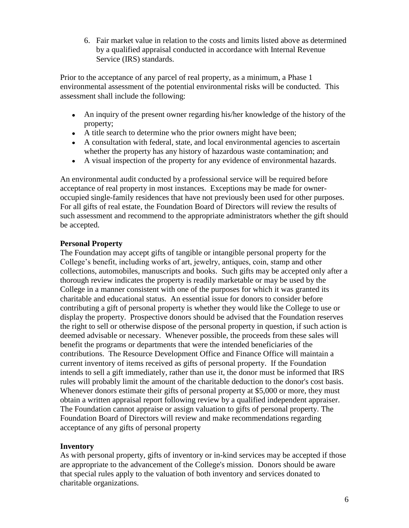6. Fair market value in relation to the costs and limits listed above as determined by a qualified appraisal conducted in accordance with Internal Revenue Service (IRS) standards.

Prior to the acceptance of any parcel of real property, as a minimum, a Phase 1 environmental assessment of the potential environmental risks will be conducted. This assessment shall include the following:

- An inquiry of the present owner regarding his/her knowledge of the history of the property;
- A title search to determine who the prior owners might have been;
- A consultation with federal, state, and local environmental agencies to ascertain whether the property has any history of hazardous waste contamination; and
- A visual inspection of the property for any evidence of environmental hazards.

An environmental audit conducted by a professional service will be required before acceptance of real property in most instances. Exceptions may be made for owneroccupied single-family residences that have not previously been used for other purposes. For all gifts of real estate, the Foundation Board of Directors will review the results of such assessment and recommend to the appropriate administrators whether the gift should be accepted.

## **Personal Property**

The Foundation may accept gifts of tangible or intangible personal property for the College's benefit, including works of art, jewelry, antiques, coin, stamp and other collections, automobiles, manuscripts and books. Such gifts may be accepted only after a thorough review indicates the property is readily marketable or may be used by the College in a manner consistent with one of the purposes for which it was granted its charitable and educational status. An essential issue for donors to consider before contributing a gift of personal property is whether they would like the College to use or display the property. Prospective donors should be advised that the Foundation reserves the right to sell or otherwise dispose of the personal property in question, if such action is deemed advisable or necessary. Whenever possible, the proceeds from these sales will benefit the programs or departments that were the intended beneficiaries of the contributions. The Resource Development Office and Finance Office will maintain a current inventory of items received as gifts of personal property. If the Foundation intends to sell a gift immediately, rather than use it, the donor must be informed that IRS rules will probably limit the amount of the charitable deduction to the donor's cost basis. Whenever donors estimate their gifts of personal property at \$5,000 or more, they must obtain a written appraisal report following review by a qualified independent appraiser. The Foundation cannot appraise or assign valuation to gifts of personal property. The Foundation Board of Directors will review and make recommendations regarding acceptance of any gifts of personal property

## **Inventory**

As with personal property, gifts of inventory or in-kind services may be accepted if those are appropriate to the advancement of the College's mission. Donors should be aware that special rules apply to the valuation of both inventory and services donated to charitable organizations.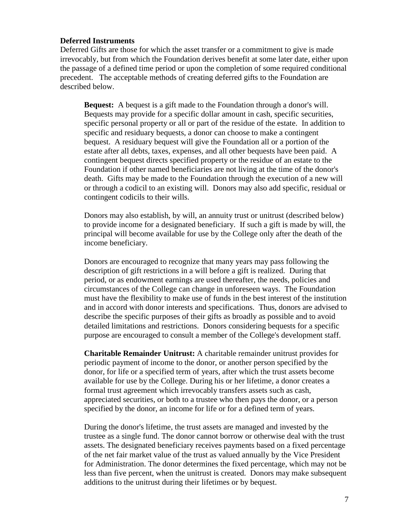### **Deferred Instruments**

Deferred Gifts are those for which the asset transfer or a commitment to give is made irrevocably, but from which the Foundation derives benefit at some later date, either upon the passage of a defined time period or upon the completion of some required conditional precedent. The acceptable methods of creating deferred gifts to the Foundation are described below.

**Bequest:** A bequest is a gift made to the Foundation through a donor's will. Bequests may provide for a specific dollar amount in cash, specific securities, specific personal property or all or part of the residue of the estate. In addition to specific and residuary bequests, a donor can choose to make a contingent bequest. A residuary bequest will give the Foundation all or a portion of the estate after all debts, taxes, expenses, and all other bequests have been paid. A contingent bequest directs specified property or the residue of an estate to the Foundation if other named beneficiaries are not living at the time of the donor's death. Gifts may be made to the Foundation through the execution of a new will or through a codicil to an existing will. Donors may also add specific, residual or contingent codicils to their wills.

Donors may also establish, by will, an annuity trust or unitrust (described below) to provide income for a designated beneficiary. If such a gift is made by will, the principal will become available for use by the College only after the death of the income beneficiary.

Donors are encouraged to recognize that many years may pass following the description of gift restrictions in a will before a gift is realized. During that period, or as endowment earnings are used thereafter, the needs, policies and circumstances of the College can change in unforeseen ways. The Foundation must have the flexibility to make use of funds in the best interest of the institution and in accord with donor interests and specifications. Thus, donors are advised to describe the specific purposes of their gifts as broadly as possible and to avoid detailed limitations and restrictions. Donors considering bequests for a specific purpose are encouraged to consult a member of the College's development staff.

**Charitable Remainder Unitrust:** A charitable remainder unitrust provides for periodic payment of income to the donor, or another person specified by the donor, for life or a specified term of years, after which the trust assets become available for use by the College. During his or her lifetime, a donor creates a formal trust agreement which irrevocably transfers assets such as cash, appreciated securities, or both to a trustee who then pays the donor, or a person specified by the donor, an income for life or for a defined term of years.

During the donor's lifetime, the trust assets are managed and invested by the trustee as a single fund. The donor cannot borrow or otherwise deal with the trust assets. The designated beneficiary receives payments based on a fixed percentage of the net fair market value of the trust as valued annually by the Vice President for Administration. The donor determines the fixed percentage, which may not be less than five percent, when the unitrust is created. Donors may make subsequent additions to the unitrust during their lifetimes or by bequest.